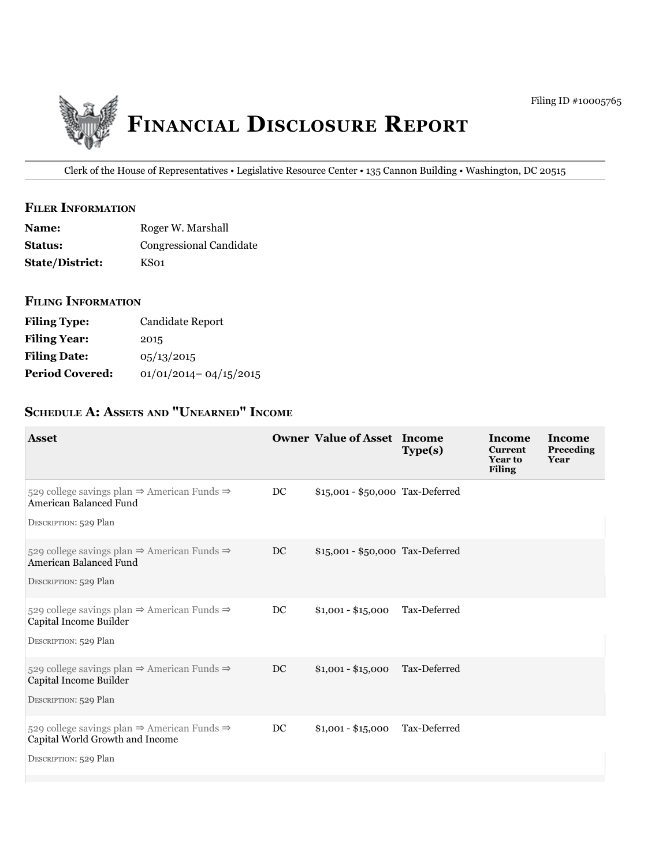

Clerk of the House of Representatives • Legislative Resource Center • 135 Cannon Building • Washington, DC 20515

### **filer information**

| <b>Name:</b>           | Roger W. Marshall       |
|------------------------|-------------------------|
| <b>Status:</b>         | Congressional Candidate |
| <b>State/District:</b> | KS01                    |

### **filing information**

| <b>Filing Type:</b>    | Candidate Report          |
|------------------------|---------------------------|
| <b>Filing Year:</b>    | 2015                      |
| <b>Filing Date:</b>    | 05/13/2015                |
| <b>Period Covered:</b> | $01/01/2014 - 04/15/2015$ |

# **ScheDule a: aSSetS anD "unearneD" income**

| <b>Asset</b>                                                                                                                    |    | <b>Owner Value of Asset Income</b> | Type(s)      | Income<br><b>Current</b><br><b>Year to</b><br><b>Filing</b> | Income<br>Preceding<br>Year |
|---------------------------------------------------------------------------------------------------------------------------------|----|------------------------------------|--------------|-------------------------------------------------------------|-----------------------------|
| 529 college savings plan $\Rightarrow$ American Funds $\Rightarrow$<br>American Balanced Fund<br>DESCRIPTION: 529 Plan          | DC | \$15,001 - \$50,000 Tax-Deferred   |              |                                                             |                             |
| 529 college savings plan $\Rightarrow$ American Funds $\Rightarrow$<br>American Balanced Fund<br>DESCRIPTION: 529 Plan          | DC | \$15,001 - \$50,000 Tax-Deferred   |              |                                                             |                             |
| 529 college savings plan $\Rightarrow$ American Funds $\Rightarrow$<br>Capital Income Builder<br>DESCRIPTION: 529 Plan          | DC | $$1,001 - $15,000$                 | Tax-Deferred |                                                             |                             |
| 529 college savings plan $\Rightarrow$ American Funds $\Rightarrow$<br>Capital Income Builder<br>DESCRIPTION: 529 Plan          | DC | $$1,001 - $15,000$                 | Tax-Deferred |                                                             |                             |
| 529 college savings plan $\Rightarrow$ American Funds $\Rightarrow$<br>Capital World Growth and Income<br>DESCRIPTION: 529 Plan | DC | $$1,001 - $15,000$                 | Tax-Deferred |                                                             |                             |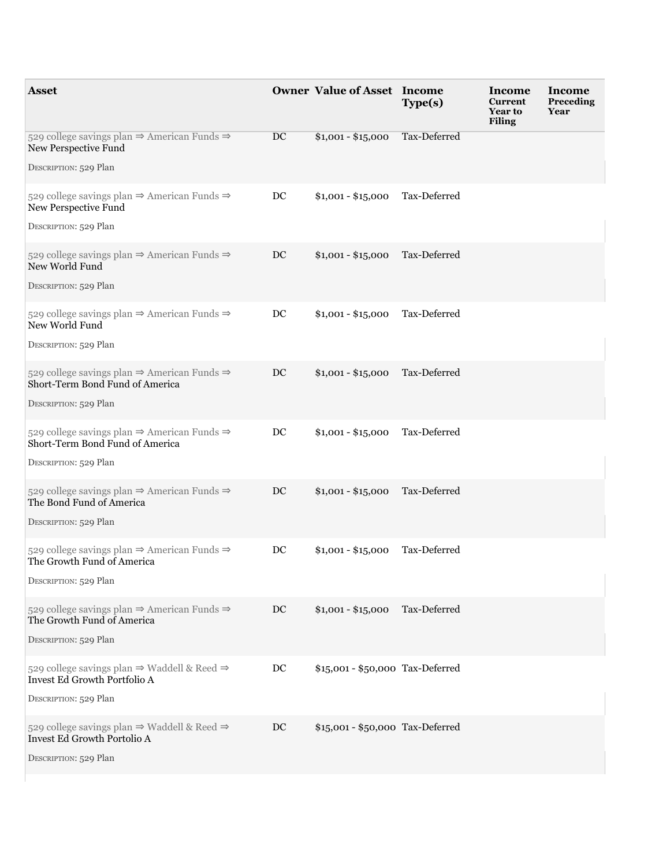| <b>Asset</b>                                                                                                                        |    | <b>Owner Value of Asset Income</b> | Type(s)      | <b>Income</b><br><b>Current</b><br>Year to<br><b>Filing</b> | Income<br>Preceding<br>Year |
|-------------------------------------------------------------------------------------------------------------------------------------|----|------------------------------------|--------------|-------------------------------------------------------------|-----------------------------|
| 529 college savings plan $\Rightarrow$ American Funds $\Rightarrow$<br>New Perspective Fund<br>DESCRIPTION: 529 Plan                | DC | $$1,001 - $15,000$                 | Tax-Deferred |                                                             |                             |
| 529 college savings plan $\Rightarrow$ American Funds $\Rightarrow$<br>New Perspective Fund<br>DESCRIPTION: 529 Plan                | DC | $$1,001 - $15,000$                 | Tax-Deferred |                                                             |                             |
| 529 college savings plan $\Rightarrow$ American Funds $\Rightarrow$<br>New World Fund<br>DESCRIPTION: 529 Plan                      | DC | $$1,001 - $15,000$                 | Tax-Deferred |                                                             |                             |
| 529 college savings plan $\Rightarrow$ American Funds $\Rightarrow$<br>New World Fund<br>DESCRIPTION: 529 Plan                      | DC | $$1,001 - $15,000$                 | Tax-Deferred |                                                             |                             |
| 529 college savings plan $\Rightarrow$ American Funds $\Rightarrow$<br>Short-Term Bond Fund of America<br>DESCRIPTION: 529 Plan     | DC | $$1,001 - $15,000$                 | Tax-Deferred |                                                             |                             |
| 529 college savings plan $\Rightarrow$ American Funds $\Rightarrow$<br>Short-Term Bond Fund of America<br>DESCRIPTION: 529 Plan     | DC | $$1,001 - $15,000$                 | Tax-Deferred |                                                             |                             |
| 529 college savings plan $\Rightarrow$ American Funds $\Rightarrow$<br>The Bond Fund of America<br>DESCRIPTION: 529 Plan            | DC | $$1,001 - $15,000$                 | Tax-Deferred |                                                             |                             |
| 529 college savings plan $\Rightarrow$ American Funds $\Rightarrow$<br>The Growth Fund of America<br>DESCRIPTION: 529 Plan          | DC | $$1,001 - $15,000$                 | Tax-Deferred |                                                             |                             |
| 529 college savings plan $\Rightarrow$ American Funds $\Rightarrow$<br>The Growth Fund of America<br>DESCRIPTION: 529 Plan          | DC | $$1,001 - $15,000$                 | Tax-Deferred |                                                             |                             |
| 529 college savings plan $\Rightarrow$ Waddell & Reed $\Rightarrow$<br><b>Invest Ed Growth Portfolio A</b><br>DESCRIPTION: 529 Plan | DC | \$15,001 - \$50,000 Tax-Deferred   |              |                                                             |                             |
| 529 college savings plan $\Rightarrow$ Waddell & Reed $\Rightarrow$<br>Invest Ed Growth Portolio A<br>DESCRIPTION: 529 Plan         | DC | \$15,001 - \$50,000 Tax-Deferred   |              |                                                             |                             |
|                                                                                                                                     |    |                                    |              |                                                             |                             |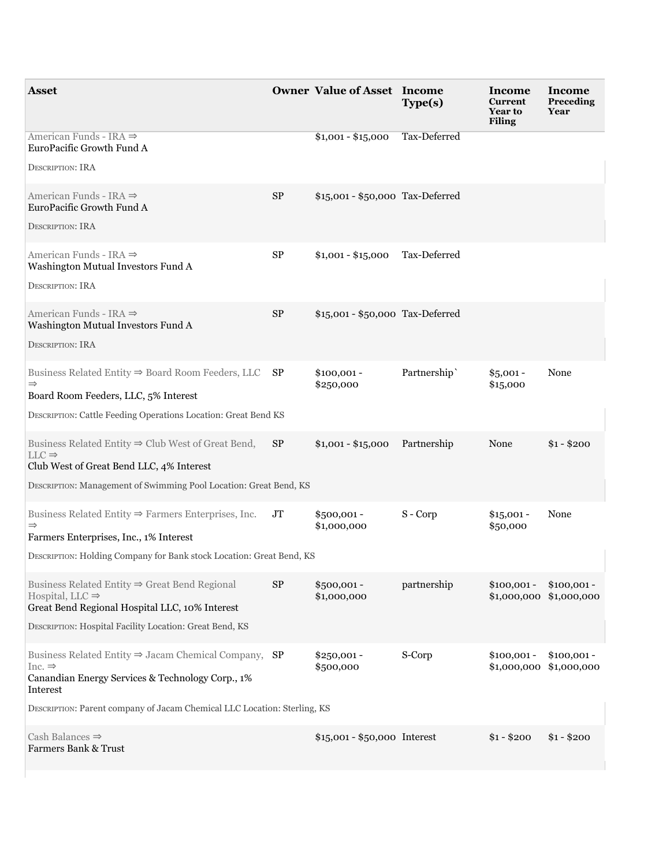| American Funds - IRA $\Rightarrow$<br>Tax-Deferred<br>$$1,001 - $15,000$                                                                                                                                                                                                                                                      |
|-------------------------------------------------------------------------------------------------------------------------------------------------------------------------------------------------------------------------------------------------------------------------------------------------------------------------------|
| EuroPacific Growth Fund A<br><b>DESCRIPTION: IRA</b>                                                                                                                                                                                                                                                                          |
| American Funds - IRA $\Rightarrow$<br>$\rm SP$<br>\$15,001 - \$50,000 Tax-Deferred<br>EuroPacific Growth Fund A<br><b>DESCRIPTION: IRA</b>                                                                                                                                                                                    |
| ${\rm SP}$<br>American Funds - IRA $\Rightarrow$<br>Tax-Deferred<br>$$1,001 - $15,000$<br>Washington Mutual Investors Fund A<br><b>DESCRIPTION: IRA</b>                                                                                                                                                                       |
| American Funds - IRA $\Rightarrow$<br>$\rm SP$<br>\$15,001 - \$50,000 Tax-Deferred<br>Washington Mutual Investors Fund A<br><b>DESCRIPTION: IRA</b>                                                                                                                                                                           |
| Business Related Entity $\Rightarrow$ Board Room Feeders, LLC SP<br>Partnership<br>None<br>$$100,001 -$<br>$$5,001 -$<br>$\Rightarrow$<br>\$250,000<br>\$15,000<br>Board Room Feeders, LLC, 5% Interest<br>DESCRIPTION: Cattle Feeding Operations Location: Great Bend KS                                                     |
| Business Related Entity $\Rightarrow$ Club West of Great Bend,<br>SP<br>$$1,001 - $15,000$<br>Partnership<br>None<br>$$1 - $200$<br>$LLC \Rightarrow$<br>Club West of Great Bend LLC, 4% Interest<br>DESCRIPTION: Management of Swimming Pool Location: Great Bend, KS                                                        |
| Business Related Entity $\Rightarrow$ Farmers Enterprises, Inc.<br>S-Corp<br>JT<br>$$500,001 -$<br>$$15,001 -$<br>None<br>\$1,000,000<br>\$50,000<br>$\Rightarrow$<br>Farmers Enterprises, Inc., 1% Interest<br>DESCRIPTION: Holding Company for Bank stock Location: Great Bend, KS                                          |
| Business Related Entity $\Rightarrow$ Great Bend Regional<br><b>SP</b><br>partnership<br>$$500,001 -$<br>$$100,001 -$<br>$$100,001 -$<br>Hospital, LLC $\Rightarrow$<br>\$1,000,000<br>$$1,000,000$ $$1,000,000$<br>Great Bend Regional Hospital LLC, 10% Interest<br>DESCRIPTION: Hospital Facility Location: Great Bend, KS |
| Business Related Entity $\Rightarrow$ Jacam Chemical Company, SP<br>S-Corp<br>$$250,001 -$<br>$$100,001 -$<br>$$100,001 -$<br>Inc. $\Rightarrow$<br>\$500,000<br>\$1,000,000 \$1,000,000<br>Canandian Energy Services & Technology Corp., 1%<br>Interest                                                                      |
| DESCRIPTION: Parent company of Jacam Chemical LLC Location: Sterling, KS                                                                                                                                                                                                                                                      |
| Cash Balances $\Rightarrow$<br>$$15,001 - $50,000$ Interest<br>$$1 - $200$<br>$$1 - $200$<br><b>Farmers Bank &amp; Trust</b>                                                                                                                                                                                                  |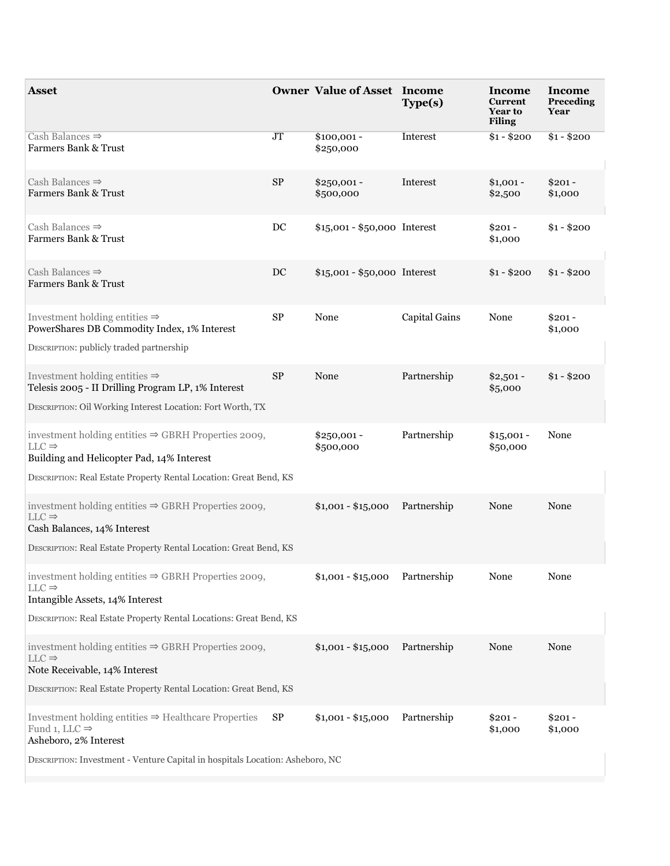| <b>Asset</b>                                                                                                                                                                                           |                  | <b>Owner Value of Asset Income</b> | Type(s)              | Income<br><b>Current</b><br><b>Year to</b><br><b>Filing</b> | Income<br>Preceding<br>Year |
|--------------------------------------------------------------------------------------------------------------------------------------------------------------------------------------------------------|------------------|------------------------------------|----------------------|-------------------------------------------------------------|-----------------------------|
| Cash Balances $\Rightarrow$<br><b>Farmers Bank &amp; Trust</b>                                                                                                                                         | JT               | $$100,001 -$<br>\$250,000          | Interest             | $$1 - $200$                                                 | $$1 - $200$                 |
| Cash Balances $\Rightarrow$<br>Farmers Bank & Trust                                                                                                                                                    | <b>SP</b>        | $$250,001 -$<br>\$500,000          | Interest             | $$1,001 -$<br>\$2,500                                       | $$201 -$<br>\$1,000         |
| Cash Balances $\Rightarrow$<br><b>Farmers Bank &amp; Trust</b>                                                                                                                                         | $_{\mathrm{DC}}$ | \$15,001 - \$50,000 Interest       |                      | $$201 -$<br>\$1,000                                         | $$1 - $200$                 |
| Cash Balances $\Rightarrow$<br>Farmers Bank & Trust                                                                                                                                                    | $_{\rm DC}$      | \$15,001 - \$50,000 Interest       |                      | $$1 - $200$                                                 | $$1 - $200$                 |
| Investment holding entities $\Rightarrow$<br>PowerShares DB Commodity Index, 1% Interest<br>DESCRIPTION: publicly traded partnership                                                                   | ${\rm SP}$       | None                               | <b>Capital Gains</b> | None                                                        | $$201 -$<br>\$1,000         |
| Investment holding entities $\Rightarrow$<br>Telesis 2005 - II Drilling Program LP, 1% Interest<br>DESCRIPTION: Oil Working Interest Location: Fort Worth, TX                                          | $\rm SP$         | None                               | Partnership          | $$2,501 -$<br>\$5,000                                       | $$1 - $200$                 |
| investment holding entities $\Rightarrow$ GBRH Properties 2009,<br>$LLC \Rightarrow$<br>Building and Helicopter Pad, 14% Interest<br>DESCRIPTION: Real Estate Property Rental Location: Great Bend, KS |                  | $$250,001 -$<br>\$500,000          | Partnership          | $$15,001 -$<br>\$50,000                                     | None                        |
| investment holding entities $\Rightarrow$ GBRH Properties 2009,<br>$LLC \Rightarrow$<br>Cash Balances, 14% Interest<br>DESCRIPTION: Real Estate Property Rental Location: Great Bend, KS               |                  | $$1,001 - $15,000$                 | Partnership          | None                                                        | None                        |
| investment holding entities $\Rightarrow$ GBRH Properties 2009,<br>$LLC \Rightarrow$<br>Intangible Assets, 14% Interest<br>DESCRIPTION: Real Estate Property Rental Locations: Great Bend, KS          |                  | $$1,001 - $15,000$                 | Partnership          | None                                                        | None                        |
| investment holding entities $\Rightarrow$ GBRH Properties 2009,<br>$LLC \Rightarrow$<br>Note Receivable, 14% Interest<br>DESCRIPTION: Real Estate Property Rental Location: Great Bend, KS             |                  | \$1,001 - \$15,000 Partnership     |                      | None                                                        | None                        |
| Investment holding entities $\Rightarrow$ Healthcare Properties $SP$<br>Fund 1, LLC $\Rightarrow$<br>Asheboro, 2% Interest                                                                             |                  | $$1,001 - $15,000$                 | Partnership          | $$201 -$<br>\$1,000                                         | $$201 -$<br>\$1,000         |
| DESCRIPTION: Investment - Venture Capital in hospitals Location: Asheboro, NC                                                                                                                          |                  |                                    |                      |                                                             |                             |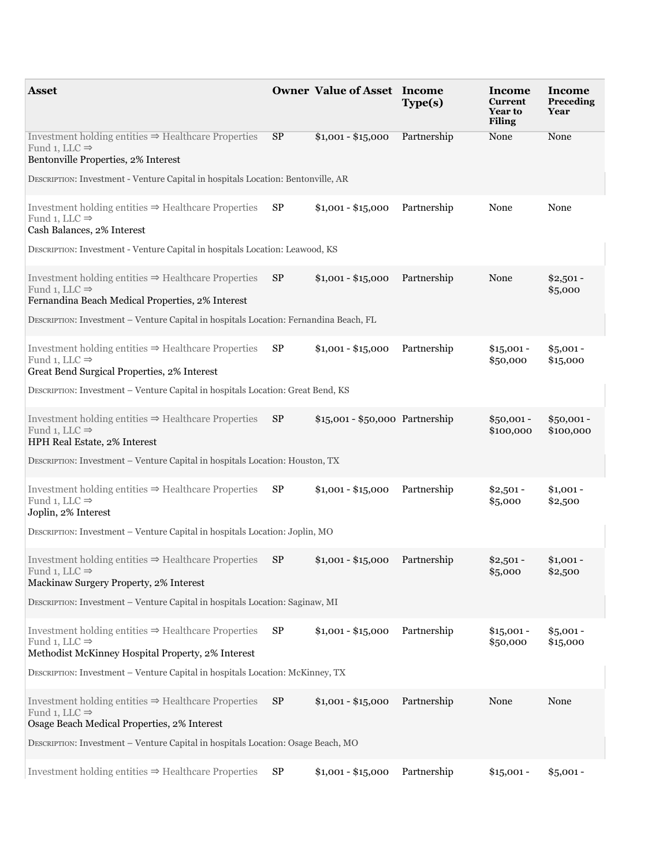| <b>Asset</b>                                                                                                                                          |           | <b>Owner Value of Asset Income</b> | Type(s)     | Income<br><b>Current</b><br>Year to<br><b>Filing</b> | Income<br>Preceding<br>Year |
|-------------------------------------------------------------------------------------------------------------------------------------------------------|-----------|------------------------------------|-------------|------------------------------------------------------|-----------------------------|
| Investment holding entities $\Rightarrow$ Healthcare Properties<br>Fund 1, LLC $\Rightarrow$<br>Bentonville Properties, 2% Interest                   | <b>SP</b> | $$1,001 - $15,000$                 | Partnership | None                                                 | None                        |
| DESCRIPTION: Investment - Venture Capital in hospitals Location: Bentonville, AR                                                                      |           |                                    |             |                                                      |                             |
| Investment holding entities $\Rightarrow$ Healthcare Properties $SP$<br>Fund 1, LLC $\Rightarrow$<br>Cash Balances, 2% Interest                       |           | $$1,001 - $15,000$                 | Partnership | None                                                 | None                        |
| DESCRIPTION: Investment - Venture Capital in hospitals Location: Leawood, KS                                                                          |           |                                    |             |                                                      |                             |
| Investment holding entities $\Rightarrow$ Healthcare Properties $SP$<br>Fund 1, LLC $\Rightarrow$<br>Fernandina Beach Medical Properties, 2% Interest |           | $$1,001 - $15,000$                 | Partnership | None                                                 | $$2,501-$<br>\$5,000        |
| DESCRIPTION: Investment – Venture Capital in hospitals Location: Fernandina Beach, FL                                                                 |           |                                    |             |                                                      |                             |
| Investment holding entities $\Rightarrow$ Healthcare Properties<br>Fund 1, LLC $\Rightarrow$<br>Great Bend Surgical Properties, 2% Interest           | SP        | $$1,001 - $15,000$                 | Partnership | $$15,001 -$<br>\$50,000                              | $$5,001 -$<br>\$15,000      |
| DESCRIPTION: Investment - Venture Capital in hospitals Location: Great Bend, KS                                                                       |           |                                    |             |                                                      |                             |
| Investment holding entities $\Rightarrow$ Healthcare Properties $SP$<br>Fund 1, LLC $\Rightarrow$<br>HPH Real Estate, 2% Interest                     |           | \$15,001 - \$50,000 Partnership    |             | $$50,001 -$<br>\$100,000                             | $$50,001 -$<br>\$100,000    |
| DESCRIPTION: Investment - Venture Capital in hospitals Location: Houston, TX                                                                          |           |                                    |             |                                                      |                             |
| Investment holding entities $\Rightarrow$ Healthcare Properties $SP$<br>Fund 1, LLC $\Rightarrow$<br>Joplin, 2% Interest                              |           | $$1,001 - $15,000$                 | Partnership | $$2,501-$<br>\$5,000                                 | $$1,001 -$<br>\$2,500       |
| DESCRIPTION: Investment - Venture Capital in hospitals Location: Joplin, MO                                                                           |           |                                    |             |                                                      |                             |
| Investment holding entities $\Rightarrow$ Healthcare Properties<br>Fund 1, LLC $\Rightarrow$<br>Mackinaw Surgery Property, 2% Interest                | SP        | $$1,001 - $15,000$                 | Partnership | $$2,501-$<br>\$5,000                                 | $$1,001 -$<br>\$2,500       |
| DESCRIPTION: Investment - Venture Capital in hospitals Location: Saginaw, MI                                                                          |           |                                    |             |                                                      |                             |
| Investment holding entities $\Rightarrow$ Healthcare Properties<br>Fund 1, LLC $\Rightarrow$<br>Methodist McKinney Hospital Property, 2% Interest     | SP        | $$1,001 - $15,000$                 | Partnership | $$15,001 -$<br>\$50,000                              | $$5,001 -$<br>\$15,000      |
| DESCRIPTION: Investment - Venture Capital in hospitals Location: McKinney, TX                                                                         |           |                                    |             |                                                      |                             |
| Investment holding entities $\Rightarrow$ Healthcare Properties $SP$<br>Fund 1, LLC $\Rightarrow$<br>Osage Beach Medical Properties, 2% Interest      |           | $$1,001 - $15,000$                 | Partnership | None                                                 | None                        |
| DESCRIPTION: Investment - Venture Capital in hospitals Location: Osage Beach, MO                                                                      |           |                                    |             |                                                      |                             |
| Investment holding entities $\Rightarrow$ Healthcare Properties                                                                                       | <b>SP</b> | $$1,001 - $15,000$                 | Partnership | $$15,001 -$                                          | $$5,001 -$                  |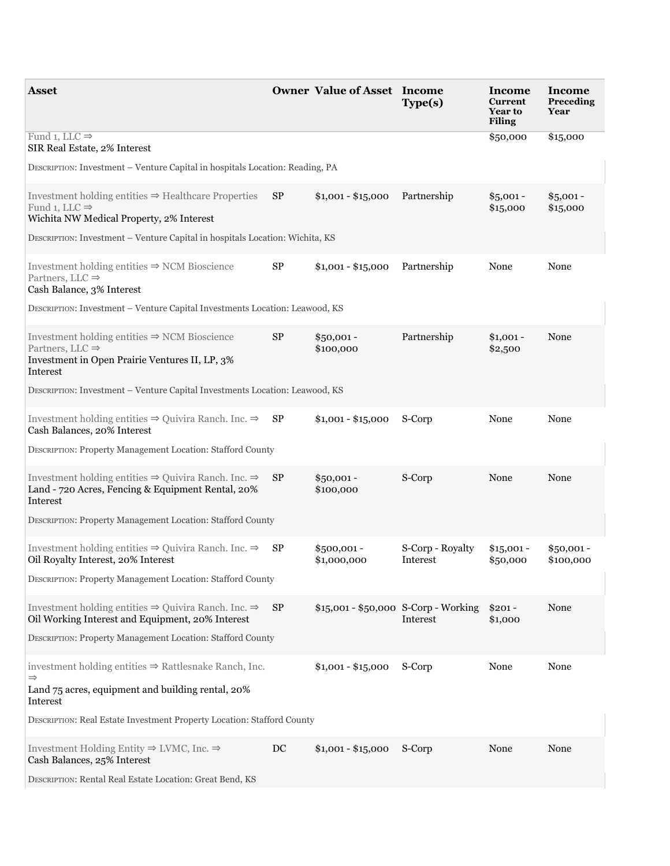| <b>Asset</b>                                                                                                                                          |           | <b>Owner Value of Asset Income</b>   | Type(s)                      | Income<br><b>Current</b><br><b>Year to</b><br><b>Filing</b> | Income<br>Preceding<br>Year |  |  |  |
|-------------------------------------------------------------------------------------------------------------------------------------------------------|-----------|--------------------------------------|------------------------------|-------------------------------------------------------------|-----------------------------|--|--|--|
| Fund 1, LLC $\Rightarrow$<br>SIR Real Estate, 2% Interest                                                                                             |           |                                      |                              | \$50,000                                                    | \$15,000                    |  |  |  |
| DESCRIPTION: Investment - Venture Capital in hospitals Location: Reading, PA                                                                          |           |                                      |                              |                                                             |                             |  |  |  |
| Investment holding entities $\Rightarrow$ Healthcare Properties $SP$<br>Fund 1, LLC $\Rightarrow$<br>Wichita NW Medical Property, 2% Interest         |           | $$1,001 - $15,000$                   | Partnership                  | $$5,001 -$<br>\$15,000                                      | $$5,001 -$<br>\$15,000      |  |  |  |
| DESCRIPTION: Investment - Venture Capital in hospitals Location: Wichita, KS                                                                          |           |                                      |                              |                                                             |                             |  |  |  |
| Investment holding entities $\Rightarrow$ NCM Bioscience<br>Partners, LLC $\Rightarrow$<br>Cash Balance, 3% Interest                                  | $\rm SP$  | $$1,001 - $15,000$                   | Partnership                  | None                                                        | None                        |  |  |  |
| DESCRIPTION: Investment - Venture Capital Investments Location: Leawood, KS                                                                           |           |                                      |                              |                                                             |                             |  |  |  |
| Investment holding entities $\Rightarrow$ NCM Bioscience<br>Partners, LLC $\Rightarrow$<br>Investment in Open Prairie Ventures II, LP, 3%<br>Interest | <b>SP</b> | $$50,001 -$<br>\$100,000             | Partnership                  | $$1,001 -$<br>\$2,500                                       | None                        |  |  |  |
| DESCRIPTION: Investment - Venture Capital Investments Location: Leawood, KS                                                                           |           |                                      |                              |                                                             |                             |  |  |  |
| Investment holding entities $\Rightarrow$ Quivira Ranch. Inc. $\Rightarrow$ <b>SP</b><br>Cash Balances, 20% Interest                                  |           | $$1,001 - $15,000$                   | S-Corp                       | None                                                        | None                        |  |  |  |
| DESCRIPTION: Property Management Location: Stafford County                                                                                            |           |                                      |                              |                                                             |                             |  |  |  |
| Investment holding entities $\Rightarrow$ Quivira Ranch. Inc. $\Rightarrow$<br>Land - 720 Acres, Fencing & Equipment Rental, 20%<br>Interest          | SP        | $$50,001 -$<br>\$100,000             | S-Corp                       | None                                                        | None                        |  |  |  |
| DESCRIPTION: Property Management Location: Stafford County                                                                                            |           |                                      |                              |                                                             |                             |  |  |  |
| Investment holding entities $\Rightarrow$ Quivira Ranch. Inc. $\Rightarrow$<br>Oil Royalty Interest, 20% Interest                                     | <b>SP</b> | $$500,001 -$<br>\$1,000,000          | S-Corp - Royalty<br>Interest | $$15,001 -$<br>\$50,000                                     | $$50,001 -$<br>\$100,000    |  |  |  |
| DESCRIPTION: Property Management Location: Stafford County                                                                                            |           |                                      |                              |                                                             |                             |  |  |  |
| Investment holding entities $\Rightarrow$ Quivira Ranch. Inc. $\Rightarrow$<br>Oil Working Interest and Equipment, 20% Interest                       | SP        | \$15,001 - \$50,000 S-Corp - Working | Interest                     | $$201 -$<br>\$1,000                                         | None                        |  |  |  |
| DESCRIPTION: Property Management Location: Stafford County                                                                                            |           |                                      |                              |                                                             |                             |  |  |  |
| investment holding entities $\Rightarrow$ Rattlesnake Ranch, Inc.<br>$\Rightarrow$<br>Land 75 acres, equipment and building rental, 20%               |           | $$1,001 - $15,000$                   | S-Corp                       | None                                                        | None                        |  |  |  |
| Interest                                                                                                                                              |           |                                      |                              |                                                             |                             |  |  |  |
| DESCRIPTION: Real Estate Investment Property Location: Stafford County                                                                                |           |                                      |                              |                                                             |                             |  |  |  |
| Investment Holding Entity $\Rightarrow$ LVMC, Inc. $\Rightarrow$<br>Cash Balances, 25% Interest                                                       | DC        | $$1,001 - $15,000$ S-Corp            |                              | None                                                        | None                        |  |  |  |
| DESCRIPTION: Rental Real Estate Location: Great Bend, KS                                                                                              |           |                                      |                              |                                                             |                             |  |  |  |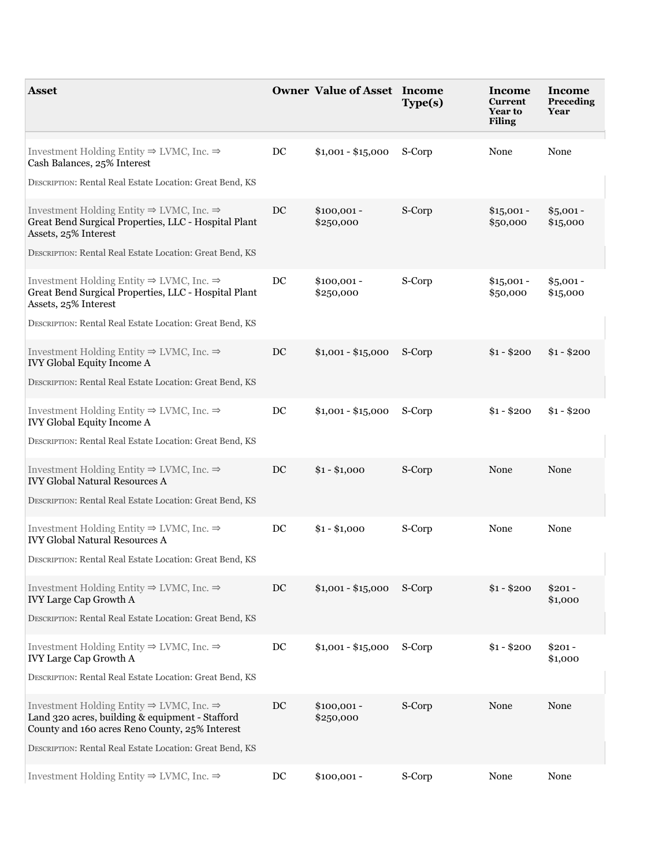| Asset                                                                                                                                                                 |                  | <b>Owner Value of Asset Income</b> | Type(s) | Income<br><b>Current</b><br><b>Year to</b><br><b>Filing</b> | Income<br>Preceding<br>Year |
|-----------------------------------------------------------------------------------------------------------------------------------------------------------------------|------------------|------------------------------------|---------|-------------------------------------------------------------|-----------------------------|
| Investment Holding Entity $\Rightarrow$ LVMC, Inc. $\Rightarrow$<br>Cash Balances, 25% Interest                                                                       | $_{\mathrm{DC}}$ | $$1,001 - $15,000$ S-Corp          |         | None                                                        | None                        |
| DESCRIPTION: Rental Real Estate Location: Great Bend, KS                                                                                                              |                  |                                    |         |                                                             |                             |
| Investment Holding Entity $\Rightarrow$ LVMC, Inc. $\Rightarrow$<br>Great Bend Surgical Properties, LLC - Hospital Plant<br>Assets, 25% Interest                      | DC               | $$100,001 -$<br>\$250,000          | S-Corp  | $$15,001 -$<br>\$50,000                                     | $$5,001 -$<br>\$15,000      |
| DESCRIPTION: Rental Real Estate Location: Great Bend, KS                                                                                                              |                  |                                    |         |                                                             |                             |
| Investment Holding Entity $\Rightarrow$ LVMC, Inc. $\Rightarrow$<br>Great Bend Surgical Properties, LLC - Hospital Plant<br>Assets, 25% Interest                      | DC               | $$100,001 -$<br>\$250,000          | S-Corp  | $$15,001 -$<br>\$50,000                                     | $$5,001 -$<br>\$15,000      |
| DESCRIPTION: Rental Real Estate Location: Great Bend, KS                                                                                                              |                  |                                    |         |                                                             |                             |
| Investment Holding Entity $\Rightarrow$ LVMC, Inc. $\Rightarrow$<br><b>IVY Global Equity Income A</b>                                                                 | DC               | $$1,001 - $15,000$ S-Corp          |         | $$1 - $200$                                                 | $$1 - $200$                 |
| DESCRIPTION: Rental Real Estate Location: Great Bend, KS                                                                                                              |                  |                                    |         |                                                             |                             |
| Investment Holding Entity $\Rightarrow$ LVMC, Inc. $\Rightarrow$<br><b>IVY Global Equity Income A</b>                                                                 | DC               | $$1,001 - $15,000$ S-Corp          |         | $$1 - $200$                                                 | $$1 - $200$                 |
| DESCRIPTION: Rental Real Estate Location: Great Bend, KS                                                                                                              |                  |                                    |         |                                                             |                             |
| Investment Holding Entity $\Rightarrow$ LVMC, Inc. $\Rightarrow$<br><b>IVY Global Natural Resources A</b>                                                             | DC               | $$1 - $1,000$                      | S-Corp  | None                                                        | None                        |
| DESCRIPTION: Rental Real Estate Location: Great Bend, KS                                                                                                              |                  |                                    |         |                                                             |                             |
| Investment Holding Entity $\Rightarrow$ LVMC, Inc. $\Rightarrow$<br><b>IVY Global Natural Resources A</b>                                                             | DC               | $$1 - $1,000$                      | S-Corp  | None                                                        | None                        |
| DESCRIPTION: Rental Real Estate Location: Great Bend, KS                                                                                                              |                  |                                    |         |                                                             |                             |
| Investment Holding Entity $\Rightarrow$ LVMC, Inc. $\Rightarrow$<br>IVY Large Cap Growth A                                                                            | DC               | $$1,001 - $15,000$ S-Corp          |         | $$1 - $200$                                                 | $$201 -$<br>\$1,000         |
| DESCRIPTION: Rental Real Estate Location: Great Bend, KS                                                                                                              |                  |                                    |         |                                                             |                             |
| Investment Holding Entity $\Rightarrow$ LVMC, Inc. $\Rightarrow$<br>IVY Large Cap Growth A                                                                            | DC               | $$1,001 - $15,000$ S-Corp          |         | $$1 - $200$                                                 | $$201 -$<br>\$1,000         |
| DESCRIPTION: Rental Real Estate Location: Great Bend, KS                                                                                                              |                  |                                    |         |                                                             |                             |
| Investment Holding Entity $\Rightarrow$ LVMC, Inc. $\Rightarrow$<br>Land 320 acres, building & equipment - Stafford<br>County and 160 acres Reno County, 25% Interest | DC               | $$100,001 -$<br>\$250,000          | S-Corp  | None                                                        | None                        |
| DESCRIPTION: Rental Real Estate Location: Great Bend, KS                                                                                                              |                  |                                    |         |                                                             |                             |
| Investment Holding Entity $\Rightarrow$ LVMC, Inc. $\Rightarrow$                                                                                                      | DC               | $$100,001 -$                       | S-Corp  | None                                                        | None                        |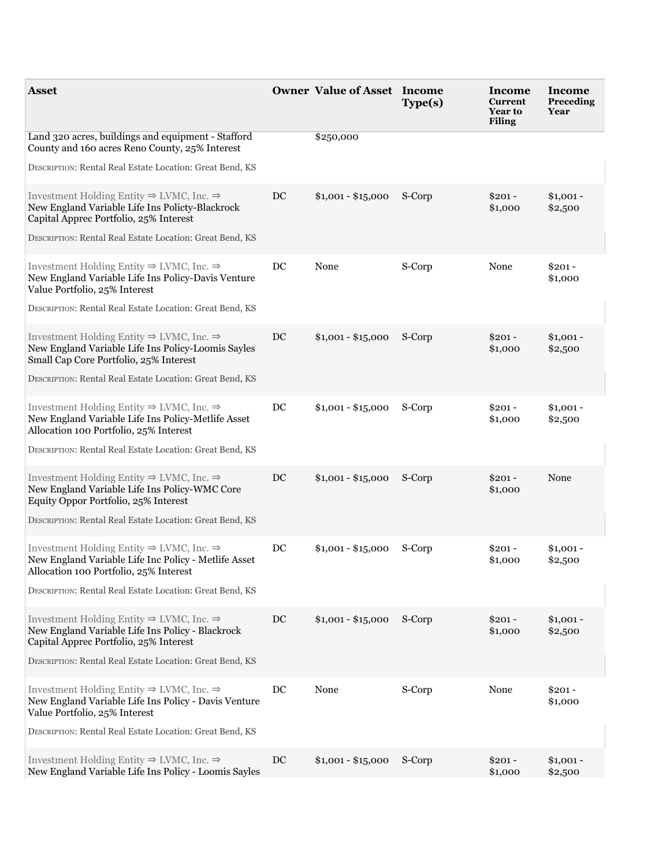| <b>Asset</b>                                                                                                                                                       |    | <b>Owner Value of Asset Income</b> | Type(s) | Income<br><b>Current</b><br><b>Year to</b><br><b>Filing</b> | Income<br>Preceding<br>Year |
|--------------------------------------------------------------------------------------------------------------------------------------------------------------------|----|------------------------------------|---------|-------------------------------------------------------------|-----------------------------|
| Land 320 acres, buildings and equipment - Stafford<br>County and 160 acres Reno County, 25% Interest                                                               |    | \$250,000                          |         |                                                             |                             |
| DESCRIPTION: Rental Real Estate Location: Great Bend, KS                                                                                                           |    |                                    |         |                                                             |                             |
| Investment Holding Entity $\Rightarrow$ LVMC, Inc. $\Rightarrow$<br>New England Variable Life Ins Policty-Blackrock<br>Capital Apprec Portfolio, 25% Interest      | DC | $$1,001 - $15,000$ S-Corp          |         | $$201 -$<br>\$1,000                                         | $$1,001 -$<br>\$2,500       |
| DESCRIPTION: Rental Real Estate Location: Great Bend, KS                                                                                                           |    |                                    |         |                                                             |                             |
| Investment Holding Entity $\Rightarrow$ LVMC, Inc. $\Rightarrow$<br>New England Variable Life Ins Policy-Davis Venture<br>Value Portfolio, 25% Interest            | DC | None                               | S-Corp  | None                                                        | $$201 -$<br>\$1,000         |
| DESCRIPTION: Rental Real Estate Location: Great Bend, KS                                                                                                           |    |                                    |         |                                                             |                             |
| Investment Holding Entity $\Rightarrow$ LVMC, Inc. $\Rightarrow$<br>New England Variable Life Ins Policy-Loomis Sayles<br>Small Cap Core Portfolio, 25% Interest   | DC | $$1,001 - $15,000$                 | S-Corp  | $$201 -$<br>\$1,000                                         | $$1,001 -$<br>\$2,500       |
| DESCRIPTION: Rental Real Estate Location: Great Bend, KS                                                                                                           |    |                                    |         |                                                             |                             |
| Investment Holding Entity $\Rightarrow$ LVMC, Inc. $\Rightarrow$<br>New England Variable Life Ins Policy-Metlife Asset<br>Allocation 100 Portfolio, 25% Interest   | DC | $$1,001 - $15,000$                 | S-Corp  | $$201 -$<br>\$1,000                                         | $$1,001 -$<br>\$2,500       |
| DESCRIPTION: Rental Real Estate Location: Great Bend, KS                                                                                                           |    |                                    |         |                                                             |                             |
| Investment Holding Entity $\Rightarrow$ LVMC, Inc. $\Rightarrow$<br>New England Variable Life Ins Policy-WMC Core<br>Equity Oppor Portfolio, 25% Interest          | DC | $$1,001 - $15,000$ S-Corp          |         | $$201 -$<br>\$1,000                                         | None                        |
| DESCRIPTION: Rental Real Estate Location: Great Bend, KS                                                                                                           |    |                                    |         |                                                             |                             |
| Investment Holding Entity $\Rightarrow$ LVMC, Inc. $\Rightarrow$<br>New England Variable Life Inc Policy - Metlife Asset<br>Allocation 100 Portfolio, 25% Interest | DC | $$1,001 - $15,000$                 | S-Corp  | $$201 -$<br>\$1,000                                         | $$1,001 -$<br>\$2,500       |
| DESCRIPTION: Rental Real Estate Location: Great Bend, KS                                                                                                           |    |                                    |         |                                                             |                             |
| Investment Holding Entity $\Rightarrow$ LVMC, Inc. $\Rightarrow$<br>New England Variable Life Ins Policy - Blackrock<br>Capital Apprec Portfolio, 25% Interest     | DC | $$1,001 - $15,000$ S-Corp          |         | $$201 -$<br>\$1,000                                         | $$1,001 -$<br>\$2,500       |
| DESCRIPTION: Rental Real Estate Location: Great Bend, KS                                                                                                           |    |                                    |         |                                                             |                             |
| Investment Holding Entity $\Rightarrow$ LVMC, Inc. $\Rightarrow$<br>New England Variable Life Ins Policy - Davis Venture<br>Value Portfolio, 25% Interest          | DC | None                               | S-Corp  | None                                                        | $$201 -$<br>\$1,000         |
| DESCRIPTION: Rental Real Estate Location: Great Bend, KS                                                                                                           |    |                                    |         |                                                             |                             |
| Investment Holding Entity $\Rightarrow$ LVMC, Inc. $\Rightarrow$<br>New England Variable Life Ins Policy - Loomis Sayles                                           | DC | $$1,001 - $15,000$ S-Corp          |         | $$201 -$<br>\$1,000                                         | $$1,001 -$<br>\$2,500       |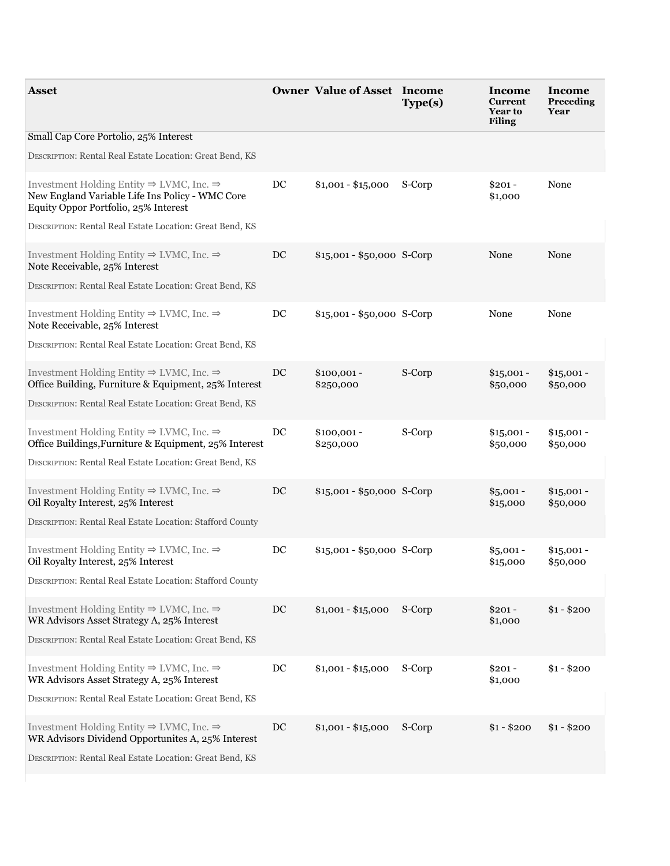| Asset                                                                                                                                                                             |    | <b>Owner Value of Asset Income</b> | Type(s) | Income<br><b>Current</b><br><b>Year to</b><br><b>Filing</b> | Income<br>Preceding<br>Year |
|-----------------------------------------------------------------------------------------------------------------------------------------------------------------------------------|----|------------------------------------|---------|-------------------------------------------------------------|-----------------------------|
| Small Cap Core Portolio, 25% Interest                                                                                                                                             |    |                                    |         |                                                             |                             |
| DESCRIPTION: Rental Real Estate Location: Great Bend, KS                                                                                                                          |    |                                    |         |                                                             |                             |
| Investment Holding Entity $\Rightarrow$ LVMC, Inc. $\Rightarrow$<br>New England Variable Life Ins Policy - WMC Core<br>Equity Oppor Portfolio, 25% Interest                       | DC | $$1,001 - $15,000$                 | S-Corp  | $$201 -$<br>\$1,000                                         | None                        |
| DESCRIPTION: Rental Real Estate Location: Great Bend, KS                                                                                                                          |    |                                    |         |                                                             |                             |
| Investment Holding Entity $\Rightarrow$ LVMC, Inc. $\Rightarrow$<br>Note Receivable, 25% Interest<br>DESCRIPTION: Rental Real Estate Location: Great Bend, KS                     | DC | $$15,001 - $50,000$ S-Corp         |         | None                                                        | None                        |
|                                                                                                                                                                                   |    |                                    |         |                                                             |                             |
| Investment Holding Entity $\Rightarrow$ LVMC, Inc. $\Rightarrow$<br>Note Receivable, 25% Interest                                                                                 | DC | $$15,001 - $50,000$ S-Corp         |         | None                                                        | None                        |
| DESCRIPTION: Rental Real Estate Location: Great Bend, KS                                                                                                                          |    |                                    |         |                                                             |                             |
| Investment Holding Entity $\Rightarrow$ LVMC, Inc. $\Rightarrow$<br>Office Building, Furniture & Equipment, 25% Interest                                                          | DC | $$100,001 -$<br>\$250,000          | S-Corp  | $$15,001 -$<br>\$50,000                                     | $$15,001 -$<br>\$50,000     |
| DESCRIPTION: Rental Real Estate Location: Great Bend, KS                                                                                                                          |    |                                    |         |                                                             |                             |
| Investment Holding Entity $\Rightarrow$ LVMC, Inc. $\Rightarrow$<br>Office Buildings, Furniture & Equipment, 25% Interest                                                         | DC | $$100,001 -$<br>\$250,000          | S-Corp  | $$15,001 -$<br>\$50,000                                     | $$15,001 -$<br>\$50,000     |
| DESCRIPTION: Rental Real Estate Location: Great Bend, KS                                                                                                                          |    |                                    |         |                                                             |                             |
| Investment Holding Entity $\Rightarrow$ LVMC, Inc. $\Rightarrow$<br>Oil Royalty Interest, 25% Interest<br>DESCRIPTION: Rental Real Estate Location: Stafford County               | DC | $$15,001 - $50,000$ S-Corp         |         | $$5,001 -$<br>\$15,000                                      | $$15,001 -$<br>\$50,000     |
|                                                                                                                                                                                   |    |                                    |         |                                                             |                             |
| Investment Holding Entity $\Rightarrow$ LVMC, Inc. $\Rightarrow$<br>Oil Royalty Interest, 25% Interest<br>DESCRIPTION: Rental Real Estate Location: Stafford County               | DC | $$15,001 - $50,000$ S-Corp         |         | $$5,001 -$<br>\$15,000                                      | $$15,001 -$<br>\$50,000     |
|                                                                                                                                                                                   | DC | $$1,001 - $15,000$ S-Corp          |         |                                                             |                             |
| Investment Holding Entity $\Rightarrow$ LVMC, Inc. $\Rightarrow$<br>WR Advisors Asset Strategy A, 25% Interest                                                                    |    |                                    |         | $$201 -$<br>\$1,000                                         | $$1 - $200$                 |
| DESCRIPTION: Rental Real Estate Location: Great Bend, KS                                                                                                                          |    |                                    |         |                                                             |                             |
| Investment Holding Entity $\Rightarrow$ LVMC, Inc. $\Rightarrow$<br>WR Advisors Asset Strategy A, 25% Interest                                                                    | DC | $$1,001 - $15,000$ S-Corp          |         | $$201 -$<br>\$1,000                                         | $$1 - $200$                 |
| DESCRIPTION: Rental Real Estate Location: Great Bend, KS                                                                                                                          |    |                                    |         |                                                             |                             |
| Investment Holding Entity $\Rightarrow$ LVMC, Inc. $\Rightarrow$<br>WR Advisors Dividend Opportunites A, 25% Interest<br>DESCRIPTION: Rental Real Estate Location: Great Bend, KS | DC | $$1,001 - $15,000$                 | S-Corp  | $$1 - $200$                                                 | $$1 - $200$                 |
|                                                                                                                                                                                   |    |                                    |         |                                                             |                             |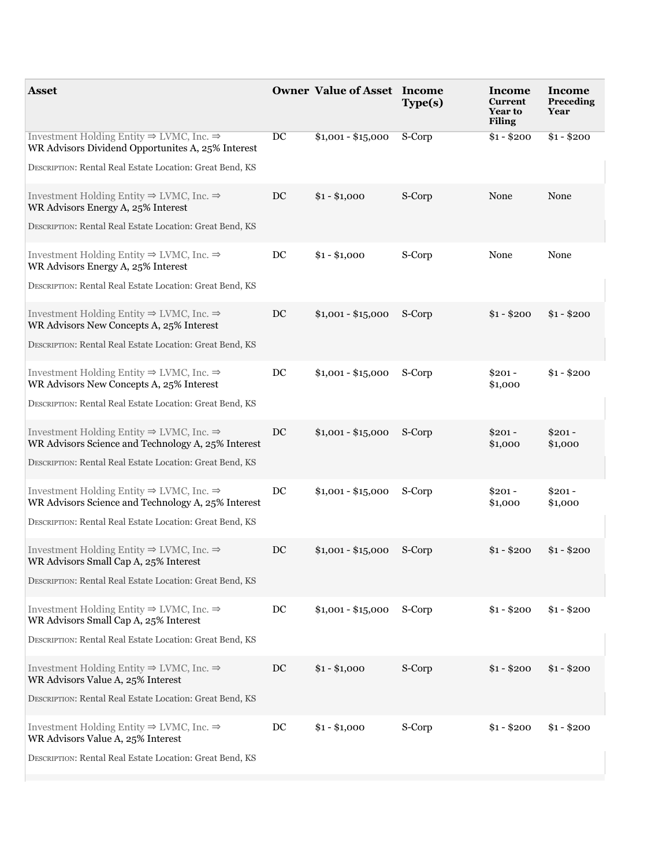| Asset                                                                                                                  |             | <b>Owner Value of Asset Income</b> | Type(s) | Income<br><b>Current</b><br><b>Year to</b><br><b>Filing</b> | Income<br>Preceding<br>Year |
|------------------------------------------------------------------------------------------------------------------------|-------------|------------------------------------|---------|-------------------------------------------------------------|-----------------------------|
| Investment Holding Entity $\Rightarrow$ LVMC, Inc. $\Rightarrow$<br>WR Advisors Dividend Opportunites A, 25% Interest  | DC          | $$1,001 - $15,000$                 | S-Corp  | $$1 - $200$                                                 | $$1 - $200$                 |
| DESCRIPTION: Rental Real Estate Location: Great Bend, KS                                                               |             |                                    |         |                                                             |                             |
| Investment Holding Entity $\Rightarrow$ LVMC, Inc. $\Rightarrow$<br>WR Advisors Energy A, 25% Interest                 | DC          | $$1 - $1,000$                      | S-Corp  | None                                                        | None                        |
| DESCRIPTION: Rental Real Estate Location: Great Bend, KS                                                               |             |                                    |         |                                                             |                             |
| Investment Holding Entity $\Rightarrow$ LVMC, Inc. $\Rightarrow$<br>WR Advisors Energy A, 25% Interest                 | DC          | $$1 - $1,000$                      | S-Corp  | None                                                        | None                        |
| DESCRIPTION: Rental Real Estate Location: Great Bend, KS                                                               |             |                                    |         |                                                             |                             |
| Investment Holding Entity $\Rightarrow$ LVMC, Inc. $\Rightarrow$<br>WR Advisors New Concepts A, 25% Interest           | DC          | $$1,001 - $15,000$ S-Corp          |         | $$1 - $200$                                                 | $$1 - $200$                 |
| DESCRIPTION: Rental Real Estate Location: Great Bend, KS                                                               |             |                                    |         |                                                             |                             |
| Investment Holding Entity $\Rightarrow$ LVMC, Inc. $\Rightarrow$<br>WR Advisors New Concepts A, 25% Interest           | $_{\rm DC}$ | $$1,001 - $15,000$ S-Corp          |         | $$201 -$<br>\$1,000                                         | $$1 - $200$                 |
| DESCRIPTION: Rental Real Estate Location: Great Bend, KS                                                               |             |                                    |         |                                                             |                             |
| Investment Holding Entity $\Rightarrow$ LVMC, Inc. $\Rightarrow$<br>WR Advisors Science and Technology A, 25% Interest | DC          | \$1,001 - \$15,000 S-Corp          |         | $$201 -$<br>\$1,000                                         | $$201 -$<br>\$1,000         |
| DESCRIPTION: Rental Real Estate Location: Great Bend, KS                                                               |             |                                    |         |                                                             |                             |
| Investment Holding Entity $\Rightarrow$ LVMC, Inc. $\Rightarrow$<br>WR Advisors Science and Technology A, 25% Interest | $_{\rm DC}$ | $$1,001 - $15,000$ S-Corp          |         | $$201 -$<br>\$1,000                                         | $$201 -$<br>\$1,000         |
| DESCRIPTION: Rental Real Estate Location: Great Bend, KS                                                               |             |                                    |         |                                                             |                             |
| Investment Holding Entity $\Rightarrow$ LVMC, Inc. $\Rightarrow$<br>WR Advisors Small Cap A, 25% Interest              | DC          | $$1,001 - $15,000$ S-Corp          |         | $$1 - $200$                                                 | $$1 - $200$                 |
| DESCRIPTION: Rental Real Estate Location: Great Bend, KS                                                               |             |                                    |         |                                                             |                             |
| Investment Holding Entity $\Rightarrow$ LVMC, Inc. $\Rightarrow$<br>WR Advisors Small Cap A, 25% Interest              | DC          | $$1,001 - $15,000$ S-Corp          |         | $$1 - $200$                                                 | $$1 - $200$                 |
| DESCRIPTION: Rental Real Estate Location: Great Bend, KS                                                               |             |                                    |         |                                                             |                             |
| Investment Holding Entity $\Rightarrow$ LVMC, Inc. $\Rightarrow$<br>WR Advisors Value A, 25% Interest                  | DC          | $$1 - $1,000$                      | S-Corp  | $$1 - $200$                                                 | $$1 - $200$                 |
| DESCRIPTION: Rental Real Estate Location: Great Bend, KS                                                               |             |                                    |         |                                                             |                             |
| Investment Holding Entity $\Rightarrow$ LVMC, Inc. $\Rightarrow$<br>WR Advisors Value A, 25% Interest                  | DC          | $$1 - $1,000$                      | S-Corp  | $$1 - $200$                                                 | $$1 - $200$                 |
| DESCRIPTION: Rental Real Estate Location: Great Bend, KS                                                               |             |                                    |         |                                                             |                             |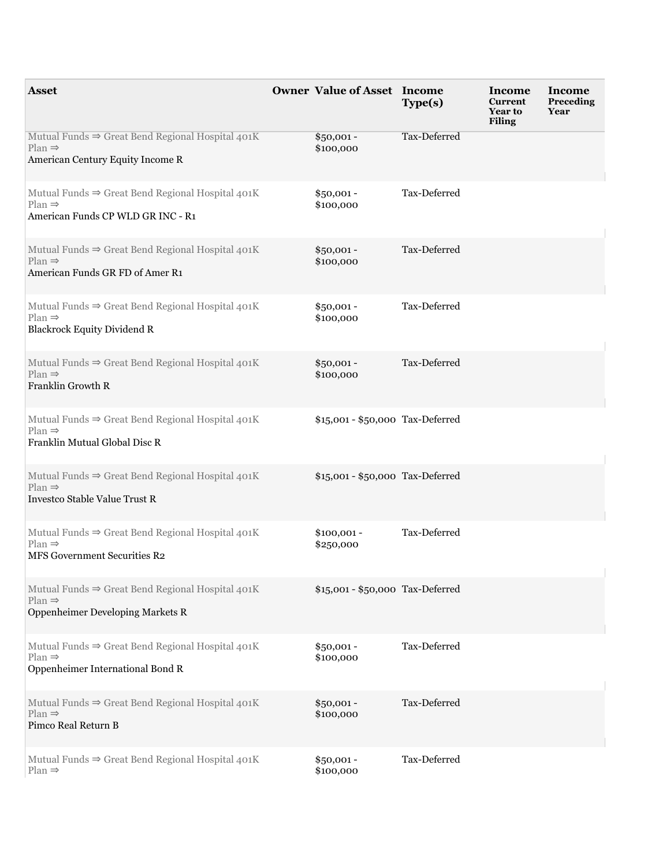| <b>Asset</b>                                                                                                             | <b>Owner Value of Asset Income</b> | Type(s)      | Income<br>Current<br>Year to<br><b>Filing</b> | Income<br>Preceding<br>Year |
|--------------------------------------------------------------------------------------------------------------------------|------------------------------------|--------------|-----------------------------------------------|-----------------------------|
| Mutual Funds $\Rightarrow$ Great Bend Regional Hospital 401K<br>$Plan \Rightarrow$<br>American Century Equity Income R   | $$50,001 -$<br>\$100,000           | Tax-Deferred |                                               |                             |
| Mutual Funds $\Rightarrow$ Great Bend Regional Hospital 401K<br>$Plan \Rightarrow$<br>American Funds CP WLD GR INC - R1  | $$50,001 -$<br>\$100,000           | Tax-Deferred |                                               |                             |
| Mutual Funds $\Rightarrow$ Great Bend Regional Hospital 401K<br>$Plan \Rightarrow$<br>American Funds GR FD of Amer R1    | $$50,001 -$<br>\$100,000           | Tax-Deferred |                                               |                             |
| Mutual Funds $\Rightarrow$ Great Bend Regional Hospital 401K<br>$Plan \Rightarrow$<br><b>Blackrock Equity Dividend R</b> | $$50,001 -$<br>\$100,000           | Tax-Deferred |                                               |                             |
| Mutual Funds $\Rightarrow$ Great Bend Regional Hospital 401K<br>$Plan \Rightarrow$<br>Franklin Growth R                  | $$50,001 -$<br>\$100,000           | Tax-Deferred |                                               |                             |
| Mutual Funds $\Rightarrow$ Great Bend Regional Hospital 401K<br>$Plan \Rightarrow$<br>Franklin Mutual Global Disc R      | \$15,001 - \$50,000 Tax-Deferred   |              |                                               |                             |
| Mutual Funds $\Rightarrow$ Great Bend Regional Hospital 401K<br>$Plan \Rightarrow$<br>Investco Stable Value Trust R      | \$15,001 - \$50,000 Tax-Deferred   |              |                                               |                             |
| Mutual Funds $\Rightarrow$ Great Bend Regional Hospital 401K<br>$Plan \Rightarrow$<br>MFS Government Securities R2       | $$100,001 -$<br>\$250,000          | Tax-Deferred |                                               |                             |
| Mutual Funds $\Rightarrow$ Great Bend Regional Hospital 401K<br>$Plan \Rightarrow$<br>Oppenheimer Developing Markets R   | \$15,001 - \$50,000 Tax-Deferred   |              |                                               |                             |
| Mutual Funds $\Rightarrow$ Great Bend Regional Hospital 401K<br>$Plan \Rightarrow$<br>Oppenheimer International Bond R   | $$50,001 -$<br>\$100,000           | Tax-Deferred |                                               |                             |
| Mutual Funds $\Rightarrow$ Great Bend Regional Hospital 401K<br>$Plan \Rightarrow$<br>Pimco Real Return B                | $$50,001 -$<br>\$100,000           | Tax-Deferred |                                               |                             |
| Mutual Funds ⇒ Great Bend Regional Hospital 401K<br>$Plan \Rightarrow$                                                   | $$50,001 -$<br>\$100,000           | Tax-Deferred |                                               |                             |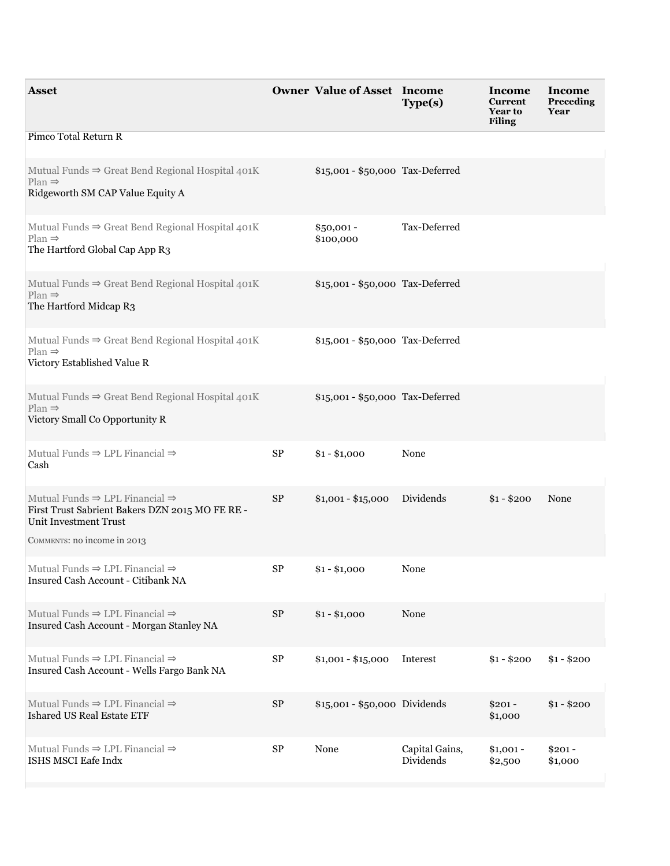| <b>Asset</b>                                                                                                                       |            | <b>Owner Value of Asset Income</b> | Type(s)                     | Income<br><b>Current</b><br><b>Year to</b><br><b>Filing</b> | Income<br>Preceding<br>Year |
|------------------------------------------------------------------------------------------------------------------------------------|------------|------------------------------------|-----------------------------|-------------------------------------------------------------|-----------------------------|
| Pimco Total Return R                                                                                                               |            |                                    |                             |                                                             |                             |
| Mutual Funds $\Rightarrow$ Great Bend Regional Hospital 401K<br>$Plan \Rightarrow$<br>Ridgeworth SM CAP Value Equity A             |            | \$15,001 - \$50,000 Tax-Deferred   |                             |                                                             |                             |
| Mutual Funds $\Rightarrow$ Great Bend Regional Hospital 401K<br>$Plan \Rightarrow$<br>The Hartford Global Cap App R3               |            | $$50,001 -$<br>\$100,000           | Tax-Deferred                |                                                             |                             |
| Mutual Funds $\Rightarrow$ Great Bend Regional Hospital 401K<br>$Plan \Rightarrow$<br>The Hartford Midcap R3                       |            | \$15,001 - \$50,000 Tax-Deferred   |                             |                                                             |                             |
| Mutual Funds $\Rightarrow$ Great Bend Regional Hospital 401K<br>$Plan \Rightarrow$<br>Victory Established Value R                  |            | \$15,001 - \$50,000 Tax-Deferred   |                             |                                                             |                             |
| Mutual Funds $\Rightarrow$ Great Bend Regional Hospital 401K<br>$Plan \Rightarrow$<br>Victory Small Co Opportunity R               |            | \$15,001 - \$50,000 Tax-Deferred   |                             |                                                             |                             |
| Mutual Funds $\Rightarrow$ LPL Financial $\Rightarrow$<br>Cash                                                                     | ${\rm SP}$ | $$1 - $1,000$                      | None                        |                                                             |                             |
| Mutual Funds $\Rightarrow$ LPL Financial $\Rightarrow$<br>First Trust Sabrient Bakers DZN 2015 MO FE RE -<br>Unit Investment Trust | $\rm SP$   | $$1,001 - $15,000$                 | Dividends                   | $$1 - $200$                                                 | None                        |
| COMMENTS: no income in 2013                                                                                                        |            |                                    |                             |                                                             |                             |
| Mutual Funds $\Rightarrow$ LPL Financial $\Rightarrow$<br>Insured Cash Account - Citibank NA                                       | $\rm SP$   | $$1 - $1,000$                      | None                        |                                                             |                             |
| Mutual Funds $\Rightarrow$ LPL Financial $\Rightarrow$<br>Insured Cash Account - Morgan Stanley NA                                 | $\rm SP$   | $$1 - $1,000$                      | None                        |                                                             |                             |
| Mutual Funds $\Rightarrow$ LPL Financial $\Rightarrow$<br>Insured Cash Account - Wells Fargo Bank NA                               | ${\rm SP}$ | $$1,001 - $15,000$                 | Interest                    | $$1 - $200$                                                 | $$1 - $200$                 |
| Mutual Funds $\Rightarrow$ LPL Financial $\Rightarrow$<br>Ishared US Real Estate ETF                                               | $\rm SP$   | \$15,001 - \$50,000 Dividends      |                             | $$201 -$<br>\$1,000                                         | $$1 - $200$                 |
| Mutual Funds $\Rightarrow$ LPL Financial $\Rightarrow$<br>ISHS MSCI Eafe Indx                                                      | ${\rm SP}$ | None                               | Capital Gains,<br>Dividends | $$1,001 -$<br>\$2,500                                       | $$201 -$<br>\$1,000         |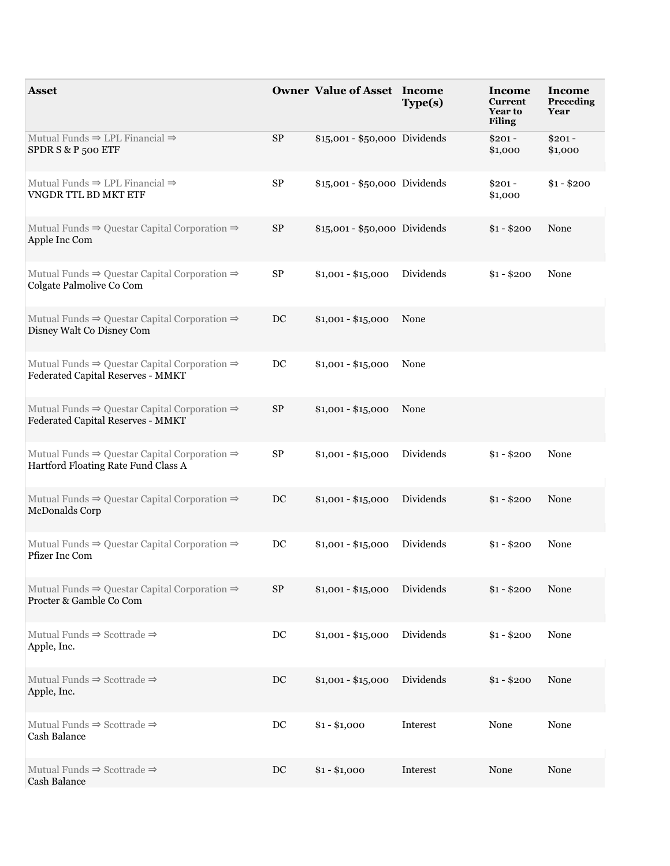| <b>Asset</b>                                                                                                |                  | <b>Owner Value of Asset Income</b> | Type(s)   | Income<br><b>Current</b><br><b>Year to</b><br><b>Filing</b> | Income<br>Preceding<br>Year |
|-------------------------------------------------------------------------------------------------------------|------------------|------------------------------------|-----------|-------------------------------------------------------------|-----------------------------|
| Mutual Funds $\Rightarrow$ LPL Financial $\Rightarrow$<br>SPDR S & P 500 ETF                                | $\rm SP$         | \$15,001 - \$50,000 Dividends      |           | $$201 -$<br>\$1,000                                         | $$201 -$<br>\$1,000         |
| Mutual Funds $\Rightarrow$ LPL Financial $\Rightarrow$<br>VNGDR TTL BD MKT ETF                              | $\rm SP$         | \$15,001 - \$50,000 Dividends      |           | $$201 -$<br>\$1,000                                         | $$1 - $200$                 |
| Mutual Funds $\Rightarrow$ Questar Capital Corporation $\Rightarrow$<br>Apple Inc Com                       | $\rm SP$         | \$15,001 - \$50,000 Dividends      |           | $$1 - $200$                                                 | None                        |
| Mutual Funds $\Rightarrow$ Questar Capital Corporation $\Rightarrow$<br>Colgate Palmolive Co Com            | SP               | $$1,001 - $15,000$                 | Dividends | $$1 - $200$                                                 | None                        |
| Mutual Funds $\Rightarrow$ Questar Capital Corporation $\Rightarrow$<br>Disney Walt Co Disney Com           | $DC$             | $$1,001 - $15,000$                 | None      |                                                             |                             |
| Mutual Funds $\Rightarrow$ Questar Capital Corporation $\Rightarrow$<br>Federated Capital Reserves - MMKT   | DC               | $$1,001 - $15,000$                 | None      |                                                             |                             |
| Mutual Funds $\Rightarrow$ Questar Capital Corporation $\Rightarrow$<br>Federated Capital Reserves - MMKT   | <b>SP</b>        | $$1,001 - $15,000$                 | None      |                                                             |                             |
| Mutual Funds $\Rightarrow$ Questar Capital Corporation $\Rightarrow$<br>Hartford Floating Rate Fund Class A | $\rm SP$         | $$1,001 - $15,000$                 | Dividends | $$1 - $200$                                                 | None                        |
| Mutual Funds $\Rightarrow$ Questar Capital Corporation $\Rightarrow$<br>McDonalds Corp                      | DC               | $$1,001 - $15,000$                 | Dividends | $$1 - $200$                                                 | None                        |
| Mutual Funds $\Rightarrow$ Questar Capital Corporation $\Rightarrow$<br>Pfizer Inc Com                      | DC               | $$1,001 - $15,000$                 | Dividends | $$1 - $200$                                                 | None                        |
| Mutual Funds $\Rightarrow$ Questar Capital Corporation $\Rightarrow$<br>Procter & Gamble Co Com             | $\rm SP$         | $$1,001 - $15,000$                 | Dividends | $$1 - $200$                                                 | None                        |
| Mutual Funds $\Rightarrow$ Scottrade $\Rightarrow$<br>Apple, Inc.                                           | $_{\mathrm{DC}}$ | $$1,001 - $15,000$                 | Dividends | $$1 - $200$                                                 | None                        |
| Mutual Funds $\Rightarrow$ Scottrade $\Rightarrow$<br>Apple, Inc.                                           | $DC$             | $$1,001 - $15,000$                 | Dividends | $$1 - $200$                                                 | None                        |
| Mutual Funds $\Rightarrow$ Scottrade $\Rightarrow$<br>Cash Balance                                          | DC               | $$1 - $1,000$                      | Interest  | None                                                        | None                        |
| Mutual Funds $\Rightarrow$ Scottrade $\Rightarrow$<br>Cash Balance                                          | DC               | $$1 - $1,000$                      | Interest  | None                                                        | None                        |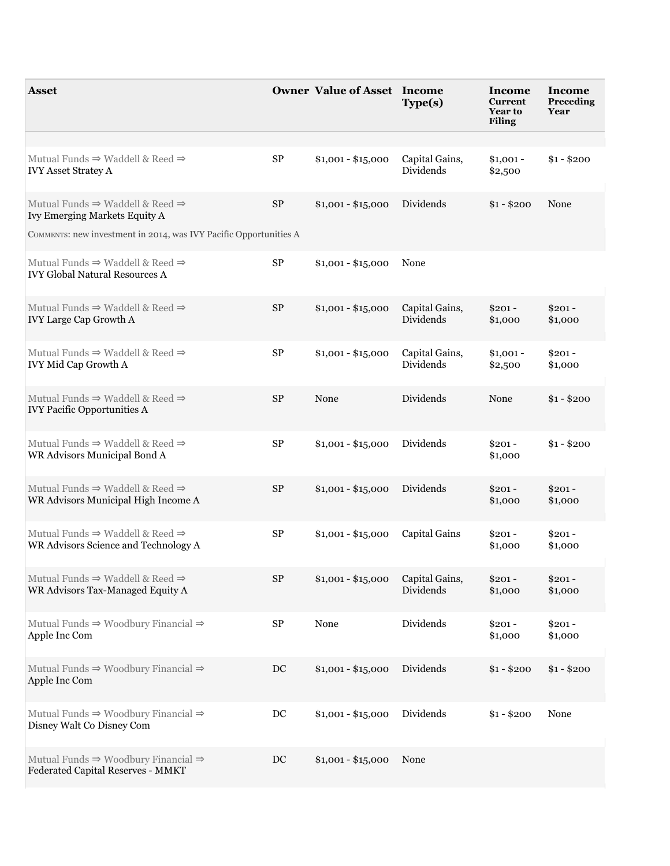| <b>Asset</b>                                                                                     |          | <b>Owner Value of Asset Income</b> | Type(s)                     | Income<br><b>Current</b><br><b>Year to</b><br><b>Filing</b> | Income<br>Preceding<br>Year |
|--------------------------------------------------------------------------------------------------|----------|------------------------------------|-----------------------------|-------------------------------------------------------------|-----------------------------|
|                                                                                                  |          |                                    |                             |                                                             |                             |
| Mutual Funds $\Rightarrow$ Waddell & Reed $\Rightarrow$<br><b>IVY Asset Stratey A</b>            | $\rm SP$ | $$1,001 - $15,000$                 | Capital Gains,<br>Dividends | $$1,001 -$<br>\$2,500                                       | $$1 - $200$                 |
| Mutual Funds $\Rightarrow$ Waddell & Reed $\Rightarrow$<br>Ivy Emerging Markets Equity A         | $\rm SP$ | $$1,001 - $15,000$                 | Dividends                   | $$1 - $200$                                                 | None                        |
| COMMENTS: new investment in 2014, was IVY Pacific Opportunities A                                |          |                                    |                             |                                                             |                             |
| Mutual Funds $\Rightarrow$ Waddell & Reed $\Rightarrow$<br><b>IVY Global Natural Resources A</b> | $\rm SP$ | $$1,001 - $15,000$                 | None                        |                                                             |                             |
| Mutual Funds $\Rightarrow$ Waddell & Reed $\Rightarrow$<br><b>IVY Large Cap Growth A</b>         | $\rm SP$ | $$1,001 - $15,000$                 | Capital Gains,<br>Dividends | $$201 -$<br>\$1,000                                         | $$201 -$<br>\$1,000         |
| Mutual Funds $\Rightarrow$ Waddell & Reed $\Rightarrow$<br><b>IVY Mid Cap Growth A</b>           | $\rm SP$ | $$1,001 - $15,000$                 | Capital Gains,<br>Dividends | $$1,001 -$<br>\$2,500                                       | $$201 -$<br>\$1,000         |
| Mutual Funds $\Rightarrow$ Waddell & Reed $\Rightarrow$<br><b>IVY Pacific Opportunities A</b>    | $\rm SP$ | None                               | Dividends                   | None                                                        | $$1 - $200$                 |
| Mutual Funds $\Rightarrow$ Waddell & Reed $\Rightarrow$<br>WR Advisors Municipal Bond A          | $\rm SP$ | $$1,001 - $15,000$                 | Dividends                   | $$201 -$<br>\$1,000                                         | $$1 - $200$                 |
| Mutual Funds $\Rightarrow$ Waddell & Reed $\Rightarrow$<br>WR Advisors Municipal High Income A   | $\rm SP$ | $$1,001 - $15,000$                 | Dividends                   | $$201 -$<br>\$1,000                                         | $$201 -$<br>\$1,000         |
| Mutual Funds $\Rightarrow$ Waddell & Reed $\Rightarrow$<br>WR Advisors Science and Technology A  | $\rm SP$ | $$1,001 - $15,000$                 | Capital Gains               | $$201 -$<br>\$1,000                                         | $$201 -$<br>\$1,000         |
| Mutual Funds $\Rightarrow$ Waddell & Reed $\Rightarrow$<br>WR Advisors Tax-Managed Equity A      | $\rm SP$ | $$1,001 - $15,000$                 | Capital Gains,<br>Dividends | $$201 -$<br>\$1,000                                         | $$201 -$<br>\$1,000         |
| Mutual Funds $\Rightarrow$ Woodbury Financial $\Rightarrow$<br>Apple Inc Com                     | $\rm SP$ | None                               | Dividends                   | $$201 -$<br>\$1,000                                         | $$201 -$<br>\$1,000         |
| Mutual Funds $\Rightarrow$ Woodbury Financial $\Rightarrow$<br>Apple Inc Com                     | DC       | $$1,001 - $15,000$                 | Dividends                   | $$1 - $200$                                                 | $$1 - $200$                 |
| Mutual Funds $\Rightarrow$ Woodbury Financial $\Rightarrow$<br>Disney Walt Co Disney Com         | DC       | $$1,001 - $15,000$                 | Dividends                   | $$1 - $200$                                                 | None                        |
| Mutual Funds $\Rightarrow$ Woodbury Financial $\Rightarrow$<br>Federated Capital Reserves - MMKT | DC       | $$1,001 - $15,000$                 | None                        |                                                             |                             |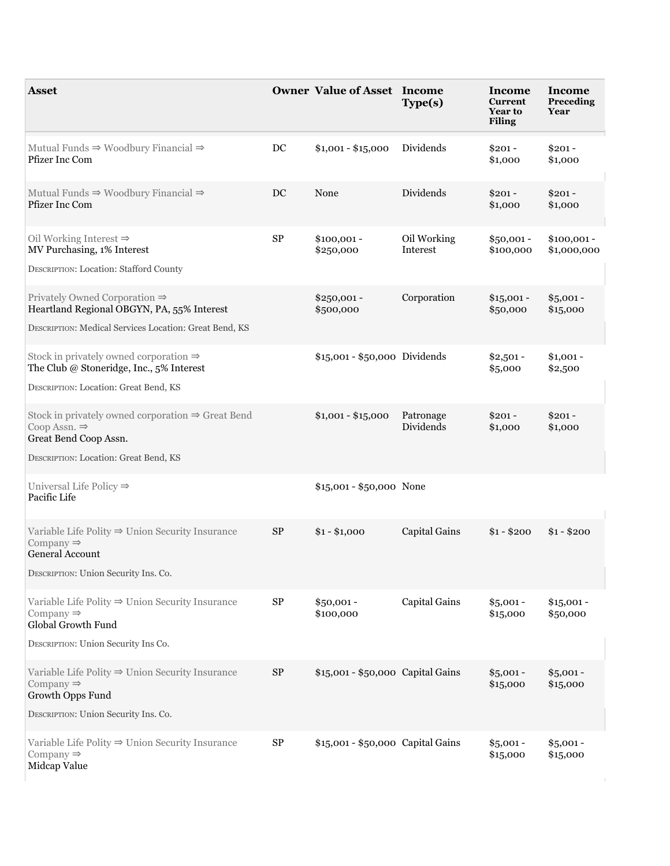| <b>Asset</b>                                                                                                                                                |             | <b>Owner Value of Asset Income</b> | Type(s)                 | Income<br>Current<br><b>Year to</b><br><b>Filing</b> | Income<br>Preceding<br>Year |
|-------------------------------------------------------------------------------------------------------------------------------------------------------------|-------------|------------------------------------|-------------------------|------------------------------------------------------|-----------------------------|
| Mutual Funds $\Rightarrow$ Woodbury Financial $\Rightarrow$<br>Pfizer Inc Com                                                                               | $_{\rm DC}$ | $$1,001 - $15,000$                 | Dividends               | $$201 -$<br>\$1,000                                  | $$201 -$<br>\$1,000         |
| Mutual Funds $\Rightarrow$ Woodbury Financial $\Rightarrow$<br>Pfizer Inc Com                                                                               | DC          | None                               | Dividends               | $$201 -$<br>\$1,000                                  | $$201 -$<br>\$1,000         |
| Oil Working Interest $\Rightarrow$<br>MV Purchasing, 1% Interest<br><b>DESCRIPTION: Location: Stafford County</b>                                           | $\rm SP$    | $$100,001 -$<br>\$250,000          | Oil Working<br>Interest | $$50,001 -$<br>\$100,000                             | $$100,001 -$<br>\$1,000,000 |
| Privately Owned Corporation $\Rightarrow$<br>Heartland Regional OBGYN, PA, 55% Interest<br>DESCRIPTION: Medical Services Location: Great Bend, KS           |             | $$250,001 -$<br>\$500,000          | Corporation             | $$15,001 -$<br>\$50,000                              | $$5,001 -$<br>\$15,000      |
| Stock in privately owned corporation $\Rightarrow$<br>The Club @ Stoneridge, Inc., 5% Interest<br>DESCRIPTION: Location: Great Bend, KS                     |             | \$15,001 - \$50,000 Dividends      |                         | $$2,501 -$<br>\$5,000                                | $$1,001 -$<br>\$2,500       |
| Stock in privately owned corporation $\Rightarrow$ Great Bend<br>Coop Assn. $\Rightarrow$<br>Great Bend Coop Assn.<br>DESCRIPTION: Location: Great Bend, KS |             | $$1,001 - $15,000$                 | Patronage<br>Dividends  | $$201 -$<br>\$1,000                                  | $$201 -$<br>\$1,000         |
| Universal Life Policy $\Rightarrow$<br>Pacific Life                                                                                                         |             | \$15,001 - \$50,000 None           |                         |                                                      |                             |
| Variable Life Polity $\Rightarrow$ Union Security Insurance<br>Company $\Rightarrow$<br>General Account<br>DESCRIPTION: Union Security Ins. Co.             | <b>SP</b>   | $$1 - $1,000$                      | Capital Gains           | $$1 - $200$                                          | $$1 - $200$                 |
| Variable Life Polity $\Rightarrow$ Union Security Insurance<br>Company $\Rightarrow$<br>Global Growth Fund<br>DESCRIPTION: Union Security Ins Co.           | SP          | $$50,001 -$<br>\$100,000           | Capital Gains           | $$5,001 -$<br>\$15,000                               | $$15,001 -$<br>\$50,000     |
| Variable Life Polity $\Rightarrow$ Union Security Insurance<br>Company $\Rightarrow$<br>Growth Opps Fund<br>DESCRIPTION: Union Security Ins. Co.            | $\rm SP$    | \$15,001 - \$50,000 Capital Gains  |                         | $$5,001 -$<br>\$15,000                               | $$5,001 -$<br>\$15,000      |
| Variable Life Polity $\Rightarrow$ Union Security Insurance<br>Company $\Rightarrow$<br>Midcap Value                                                        | ${\rm SP}$  | \$15,001 - \$50,000 Capital Gains  |                         | $$5,001 -$<br>\$15,000                               | $$5,001 -$<br>\$15,000      |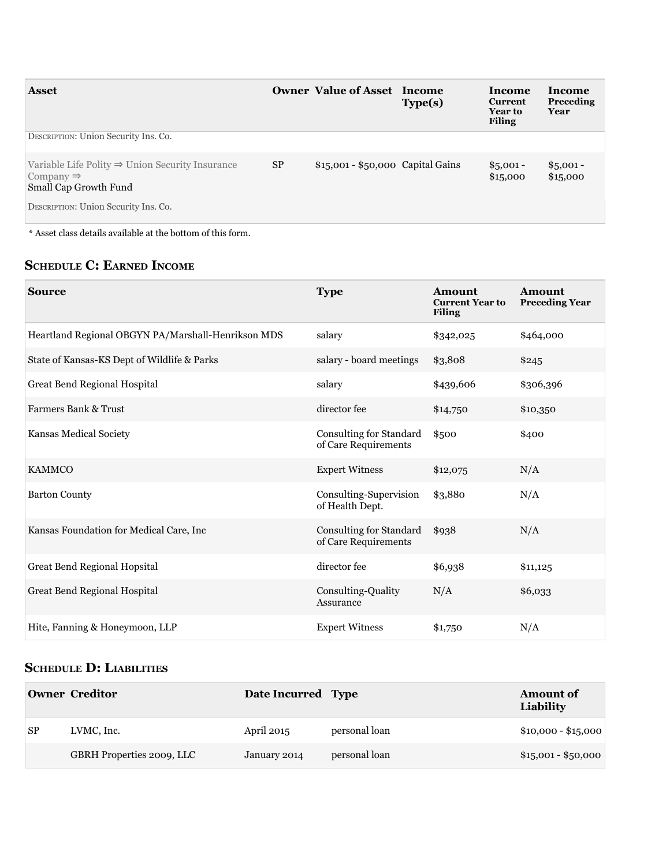| <b>Asset</b>                                                                                                  |           | <b>Owner Value of Asset Income</b> | Type(s) | <b>Income</b><br>Current<br><b>Year to</b><br><b>Filing</b> | Income<br>Preceding<br>Year |
|---------------------------------------------------------------------------------------------------------------|-----------|------------------------------------|---------|-------------------------------------------------------------|-----------------------------|
| DESCRIPTION: Union Security Ins. Co.                                                                          |           |                                    |         |                                                             |                             |
| Variable Life Polity $\Rightarrow$ Union Security Insurance<br>Company $\Rightarrow$<br>Small Cap Growth Fund | <b>SP</b> | \$15,001 - \$50,000 Capital Gains  |         | $$5,001 -$<br>\$15,000                                      | $$5,001 -$<br>\$15,000      |
| DESCRIPTION: Union Security Ins. Co.                                                                          |           |                                    |         |                                                             |                             |

 $^\ast$  Asset class details available at the bottom of this form.

## **ScheDule c: earneD income**

| <b>Source</b>                                      | <b>Type</b>                                     | <b>Amount</b><br><b>Current Year to</b><br><b>Filing</b> | <b>Amount</b><br><b>Preceding Year</b> |
|----------------------------------------------------|-------------------------------------------------|----------------------------------------------------------|----------------------------------------|
| Heartland Regional OBGYN PA/Marshall-Henrikson MDS | salary                                          | \$342,025                                                | \$464,000                              |
| State of Kansas-KS Dept of Wildlife & Parks        | salary - board meetings                         | \$3,808                                                  | \$245                                  |
| Great Bend Regional Hospital                       | salary                                          | \$439,606                                                | \$306,396                              |
| <b>Farmers Bank &amp; Trust</b>                    | director fee                                    | \$14,750                                                 | \$10,350                               |
| Kansas Medical Society                             | Consulting for Standard<br>of Care Requirements | \$500                                                    | \$400                                  |
| <b>KAMMCO</b>                                      | <b>Expert Witness</b>                           | \$12,075                                                 | N/A                                    |
| <b>Barton County</b>                               | Consulting-Supervision<br>of Health Dept.       | \$3,880                                                  | N/A                                    |
| Kansas Foundation for Medical Care, Inc            | Consulting for Standard<br>of Care Requirements | \$938                                                    | N/A                                    |
| <b>Great Bend Regional Hopsital</b>                | director fee                                    | \$6,938                                                  | \$11,125                               |
| Great Bend Regional Hospital                       | Consulting-Quality<br>Assurance                 | N/A                                                      | \$6,033                                |
| Hite, Fanning & Honeymoon, LLP                     | <b>Expert Witness</b>                           | \$1,750                                                  | N/A                                    |

## **ScheDule D: liaBilitieS**

|           | Owner Creditor            | Date Incurred Type |               | <b>Amount of</b><br>Liability |
|-----------|---------------------------|--------------------|---------------|-------------------------------|
| <b>SP</b> | LVMC, Inc.                | April 2015         | personal loan | $$10,000 - $15,000$           |
|           | GBRH Properties 2009, LLC | January 2014       | personal loan | $$15,001 - $50,000$           |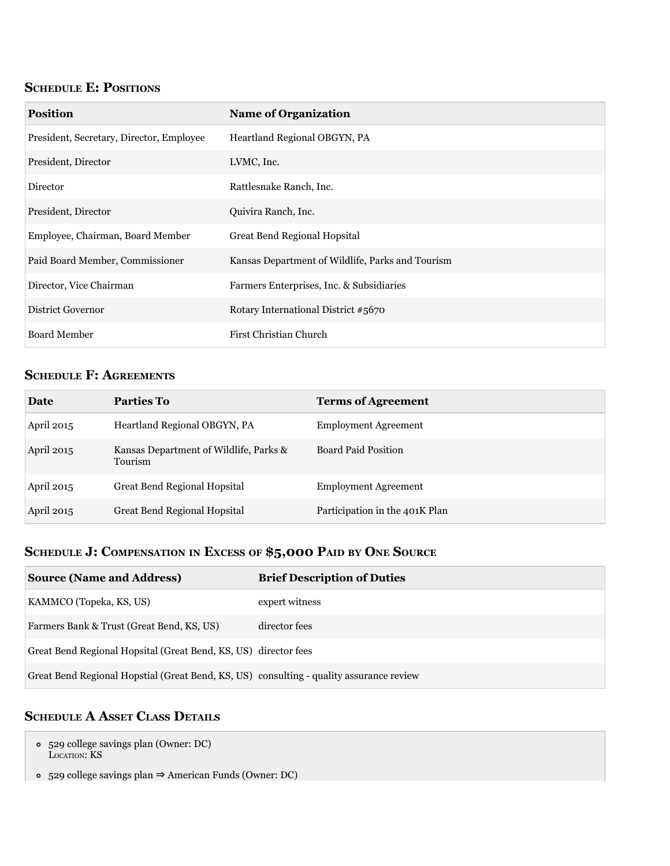## **SCHEDULE E: POSITIONS**

| <b>Position</b>                          | <b>Name of Organization</b>                      |
|------------------------------------------|--------------------------------------------------|
| President, Secretary, Director, Employee | Heartland Regional OBGYN, PA                     |
| President, Director                      | LVMC, Inc.                                       |
| Director                                 | Rattlesnake Ranch, Inc.                          |
| President, Director                      | Quivira Ranch, Inc.                              |
| Employee, Chairman, Board Member         | <b>Great Bend Regional Hopsital</b>              |
| Paid Board Member, Commissioner          | Kansas Department of Wildlife, Parks and Tourism |
| Director, Vice Chairman                  | Farmers Enterprises, Inc. & Subsidiaries         |
| District Governor                        | Rotary International District #5670              |
| <b>Board Member</b>                      | First Christian Church                           |

# **ScheDule f: agreementS**

| Date       | <b>Parties To</b>                                 | <b>Terms of Agreement</b>      |
|------------|---------------------------------------------------|--------------------------------|
| April 2015 | Heartland Regional OBGYN, PA                      | <b>Employment Agreement</b>    |
| April 2015 | Kansas Department of Wildlife, Parks &<br>Tourism | <b>Board Paid Position</b>     |
| April 2015 | Great Bend Regional Hopsital                      | <b>Employment Agreement</b>    |
| April 2015 | Great Bend Regional Hopsital                      | Participation in the 401K Plan |

# **ScheDule J: compenSation in exceSS of \$5,000 paiD By one Source**

| <b>Source (Name and Address)</b>                                                        | <b>Brief Description of Duties</b> |
|-----------------------------------------------------------------------------------------|------------------------------------|
| KAMMCO (Topeka, KS, US)                                                                 | expert witness                     |
| Farmers Bank & Trust (Great Bend, KS, US)                                               | director fees                      |
| Great Bend Regional Hopsital (Great Bend, KS, US) director fees                         |                                    |
| Great Bend Regional Hopstial (Great Bend, KS, US) consulting - quality assurance review |                                    |

## **ScheDule a aSSet claSS DetailS**

- 529 college savings plan (Owner: DC) LOCATION: KS
- 529 college savings plan ⇒ american Funds (Owner: DC)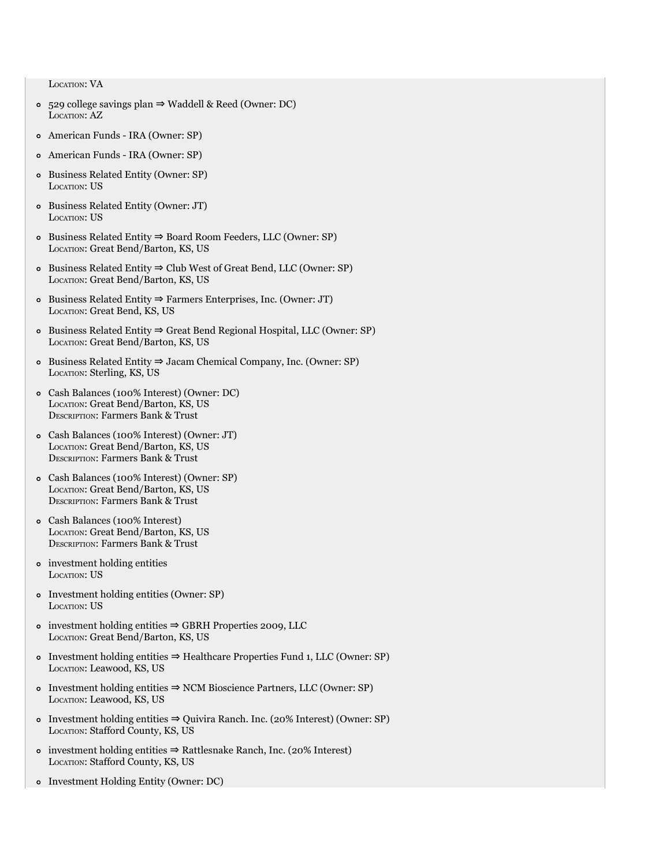LOCATION: VA

- 529 college savings plan ⇒ Waddell & Reed (Owner: DC) LOCATION: AZ
- american Funds IRa (Owner: SP)
- american Funds IRa (Owner: SP)
- Business Related Entity (Owner: SP) LOCaTION: US
- Business Related Entity (Owner: JT) LOCaTION: US
- Business Related Entity ⇒ Board Room Feeders, LLC (Owner: SP) LOCaTION: Great Bend/Barton, KS, US
- Business Related Entity ⇒ Club West of Great Bend, LLC (Owner: SP) LOCaTION: Great Bend/Barton, KS, US
- Business Related Entity ⇒ Farmers Enterprises, Inc. (Owner: JT) LOCaTION: Great Bend, KS, US
- Business Related Entity ⇒ Great Bend Regional Hospital, LLC (Owner: SP) LOCaTION: Great Bend/Barton, KS, US
- Business Related Entity ⇒ Jacam Chemical Company, Inc. (Owner: SP) LOCaTION: Sterling, KS, US
- Cash Balances (100% Interest) (Owner: DC) LOCaTION: Great Bend/Barton, KS, US DESCRIPTION: Farmers Bank & Trust
- Cash Balances (100% Interest) (Owner: JT) LOCaTION: Great Bend/Barton, KS, US DESCRIPTION: Farmers Bank & Trust
- Cash Balances (100% Interest) (Owner: SP) LOCaTION: Great Bend/Barton, KS, US DESCRIPTION: Farmers Bank & Trust
- Cash Balances (100% Interest) LOCaTION: Great Bend/Barton, KS, US DESCRIPTION: Farmers Bank & Trust
- investment holding entities LOCaTION: US
- Investment holding entities (Owner: SP) LOCaTION: US
- investment holding entities ⇒ GBRH Properties 2009, LLC LOCaTION: Great Bend/Barton, KS, US
- Investment holding entities ⇒ Healthcare Properties Fund 1, LLC (Owner: SP) LOCaTION: Leawood, KS, US
- Investment holding entities ⇒ NCM Bioscience Partners, LLC (Owner: SP) LOCaTION: Leawood, KS, US
- Investment holding entities ⇒ Quivira Ranch. Inc. (20% Interest) (Owner: SP) LOCaTION: Stafford County, KS, US
- investment holding entities ⇒ Rattlesnake Ranch, Inc. (20% Interest) LOCaTION: Stafford County, KS, US
- Investment Holding Entity (Owner: DC)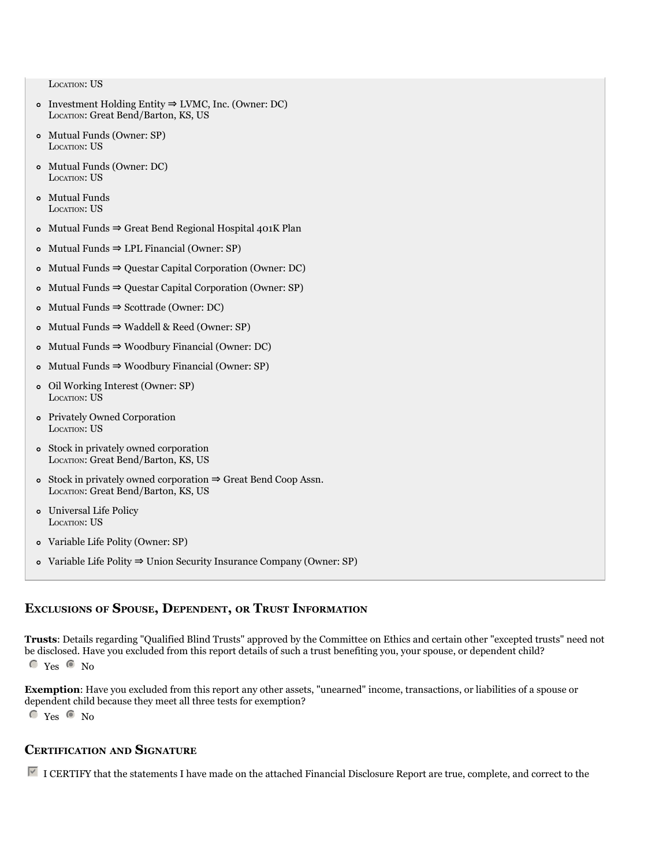LOCaTION: US

- Investment Holding Entity ⇒ LVMC, Inc. (Owner: DC) LOCaTION: Great Bend/Barton, KS, US
- Mutual Funds (Owner: SP) LOCaTION: US
- Mutual Funds (Owner: DC) LOCaTION: US
- Mutual Funds LOCATION: US
- Mutual Funds ⇒ Great Bend Regional Hospital 401K Plan
- Mutual Funds ⇒ LPL Financial (Owner: SP)
- Mutual Funds ⇒ Questar Capital Corporation (Owner: DC)
- Mutual Funds ⇒ Questar Capital Corporation (Owner: SP)
- Mutual Funds ⇒ Scottrade (Owner: DC)
- Mutual Funds ⇒ Waddell & Reed (Owner: SP)
- Mutual Funds ⇒ Woodbury Financial (Owner: DC)
- Mutual Funds ⇒ Woodbury Financial (Owner: SP)
- Oil Working Interest (Owner: SP) LOCaTION: US
- Privately Owned Corporation LOCATION: US
- Stock in privately owned corporation LOCaTION: Great Bend/Barton, KS, US
- Stock in privately owned corporation ⇒ Great Bend Coop assn. LOCaTION: Great Bend/Barton, KS, US
- Universal Life Policy LOCaTION: US
- Variable Life Polity (Owner: SP)
- Variable Life Polity ⇒ Union Security Insurance Company (Owner: SP)

#### **excluSionS of SpouSe, DepenDent, or truSt information**

**trusts**: Details regarding "Qualified Blind Trusts" approved by the Committee on Ethics and certain other "excepted trusts" need not be disclosed. Have you excluded from this report details of such a trust benefiting you, your spouse, or dependent child?

 $C$  Yes  $C$  No

**Exemption**: Have you excluded from this report any other assets, "unearned" income, transactions, or liabilities of a spouse or dependent child because they meet all three tests for exemption?

 $C$  Yes  $C$  No

#### **certification anD Signature**

 $\overline{V}$  I CERTIFY that the statements I have made on the attached Financial Disclosure Report are true, complete, and correct to the